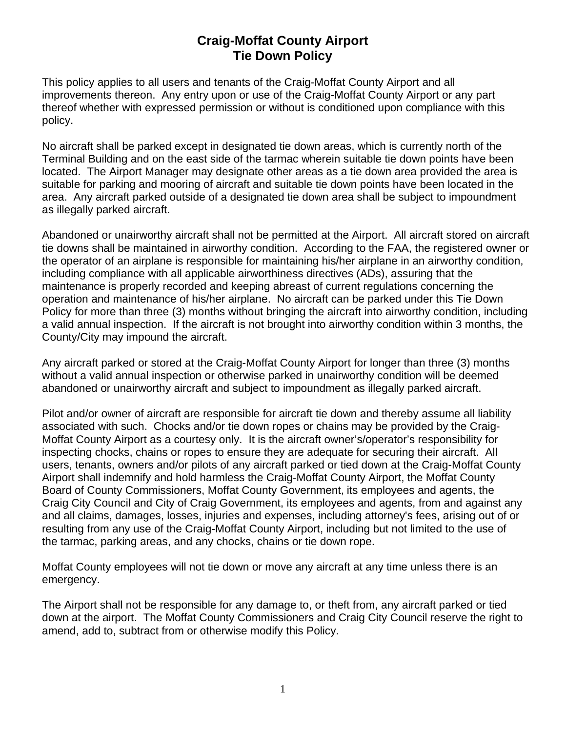## **Craig-Moffat County Airport Tie Down Policy**

This policy applies to all users and tenants of the Craig-Moffat County Airport and all improvements thereon. Any entry upon or use of the Craig-Moffat County Airport or any part thereof whether with expressed permission or without is conditioned upon compliance with this policy.

No aircraft shall be parked except in designated tie down areas, which is currently north of the Terminal Building and on the east side of the tarmac wherein suitable tie down points have been located. The Airport Manager may designate other areas as a tie down area provided the area is suitable for parking and mooring of aircraft and suitable tie down points have been located in the area. Any aircraft parked outside of a designated tie down area shall be subject to impoundment as illegally parked aircraft.

Abandoned or unairworthy aircraft shall not be permitted at the Airport. All aircraft stored on aircraft tie downs shall be maintained in airworthy condition. According to the FAA, the registered owner or the operator of an airplane is responsible for maintaining his/her airplane in an airworthy condition, including compliance with all applicable airworthiness directives (ADs), assuring that the maintenance is properly recorded and keeping abreast of current regulations concerning the operation and maintenance of his/her airplane. No aircraft can be parked under this Tie Down Policy for more than three (3) months without bringing the aircraft into airworthy condition, including a valid annual inspection. If the aircraft is not brought into airworthy condition within 3 months, the County/City may impound the aircraft.

Any aircraft parked or stored at the Craig-Moffat County Airport for longer than three (3) months without a valid annual inspection or otherwise parked in unairworthy condition will be deemed abandoned or unairworthy aircraft and subject to impoundment as illegally parked aircraft.

Pilot and/or owner of aircraft are responsible for aircraft tie down and thereby assume all liability associated with such. Chocks and/or tie down ropes or chains may be provided by the Craig-Moffat County Airport as a courtesy only. It is the aircraft owner's/operator's responsibility for inspecting chocks, chains or ropes to ensure they are adequate for securing their aircraft. All users, tenants, owners and/or pilots of any aircraft parked or tied down at the Craig-Moffat County Airport shall indemnify and hold harmless the Craig-Moffat County Airport, the Moffat County Board of County Commissioners, Moffat County Government, its employees and agents, the Craig City Council and City of Craig Government, its employees and agents, from and against any and all claims, damages, losses, injuries and expenses, including attorney's fees, arising out of or resulting from any use of the Craig-Moffat County Airport, including but not limited to the use of the tarmac, parking areas, and any chocks, chains or tie down rope.

Moffat County employees will not tie down or move any aircraft at any time unless there is an emergency.

The Airport shall not be responsible for any damage to, or theft from, any aircraft parked or tied down at the airport. The Moffat County Commissioners and Craig City Council reserve the right to amend, add to, subtract from or otherwise modify this Policy.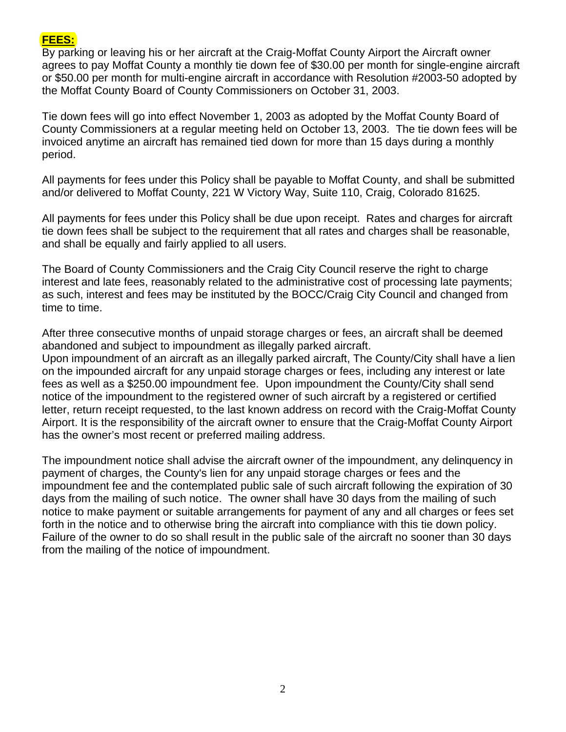

By parking or leaving his or her aircraft at the Craig-Moffat County Airport the Aircraft owner agrees to pay Moffat County a monthly tie down fee of \$30.00 per month for single-engine aircraft or \$50.00 per month for multi-engine aircraft in accordance with Resolution #2003-50 adopted by the Moffat County Board of County Commissioners on October 31, 2003.

Tie down fees will go into effect November 1, 2003 as adopted by the Moffat County Board of County Commissioners at a regular meeting held on October 13, 2003. The tie down fees will be invoiced anytime an aircraft has remained tied down for more than 15 days during a monthly period.

All payments for fees under this Policy shall be payable to Moffat County, and shall be submitted and/or delivered to Moffat County, 221 W Victory Way, Suite 110, Craig, Colorado 81625.

All payments for fees under this Policy shall be due upon receipt. Rates and charges for aircraft tie down fees shall be subject to the requirement that all rates and charges shall be reasonable, and shall be equally and fairly applied to all users.

The Board of County Commissioners and the Craig City Council reserve the right to charge interest and late fees, reasonably related to the administrative cost of processing late payments; as such, interest and fees may be instituted by the BOCC/Craig City Council and changed from time to time.

After three consecutive months of unpaid storage charges or fees, an aircraft shall be deemed abandoned and subject to impoundment as illegally parked aircraft.

Upon impoundment of an aircraft as an illegally parked aircraft, The County/City shall have a lien on the impounded aircraft for any unpaid storage charges or fees, including any interest or late fees as well as a \$250.00 impoundment fee. Upon impoundment the County/City shall send notice of the impoundment to the registered owner of such aircraft by a registered or certified letter, return receipt requested, to the last known address on record with the Craig-Moffat County Airport. It is the responsibility of the aircraft owner to ensure that the Craig-Moffat County Airport has the owner's most recent or preferred mailing address.

The impoundment notice shall advise the aircraft owner of the impoundment, any delinquency in payment of charges, the County's lien for any unpaid storage charges or fees and the impoundment fee and the contemplated public sale of such aircraft following the expiration of 30 days from the mailing of such notice. The owner shall have 30 days from the mailing of such notice to make payment or suitable arrangements for payment of any and all charges or fees set forth in the notice and to otherwise bring the aircraft into compliance with this tie down policy. Failure of the owner to do so shall result in the public sale of the aircraft no sooner than 30 days from the mailing of the notice of impoundment.